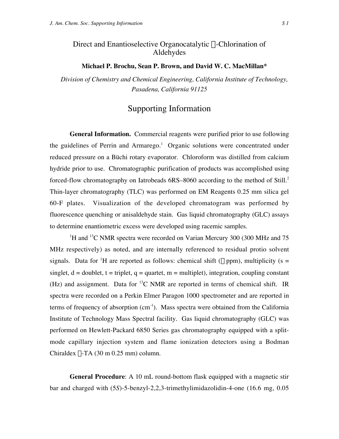## Direct and Enantioselective Organocatalytic  $\alpha$ -Chlorination of Aldehydes

## **Michael P. Brochu, Sean P. Brown, and David W. C. MacMillan\***

*Division of Chemistry and Chemical Engineering, California Institute of Technology, Pasadena, California 91125*

## Supporting Information

**General Information.** Commercial reagents were purified prior to use following the guidelines of Perrin and Armarego.<sup>1</sup> Organic solutions were concentrated under reduced pressure on a Büchi rotary evaporator. Chloroform was distilled from calcium hydride prior to use. Chromatographic purification of products was accomplished using forced-flow chromatography on Iatrobeads 6RS–8060 according to the method of Still.<sup>2</sup> Thin-layer chromatography (TLC) was performed on EM Reagents 0.25 mm silica gel 60-F plates. Visualization of the developed chromatogram was performed by fluorescence quenching or anisaldehyde stain. Gas liquid chromatography (GLC) assays to determine enantiometric excess were developed using racemic samples.

<sup>1</sup>H and <sup>13</sup>C NMR spectra were recorded on Varian Mercury 300 (300 MHz and 75 MHz respectively) as noted, and are internally referenced to residual protio solvent signals. Data for <sup>1</sup>H are reported as follows: chemical shift ( $\delta$  ppm), multiplicity ( $s =$ singlet,  $d =$  doublet,  $t =$  triplet,  $q =$  quartet,  $m =$  multiplet), integration, coupling constant (Hz) and assignment. Data for  ${}^{13}C$  NMR are reported in terms of chemical shift. IR spectra were recorded on a Perkin Elmer Paragon 1000 spectrometer and are reported in terms of frequency of absorption  $(cm^{-1})$ . Mass spectra were obtained from the California Institute of Technology Mass Spectral facility. Gas liquid chromatography (GLC) was performed on Hewlett-Packard 6850 Series gas chromatography equipped with a splitmode capillary injection system and flame ionization detectors using a Bodman Chiraldex  $\Gamma$ -TA (30 m 0.25 mm) column.

**General Procedure**: A 10 mL round-bottom flask equipped with a magnetic stir bar and charged with (5*S*)-5-benzyl-2,2,3-trimethylimidazolidin-4-one (16.6 mg, 0.05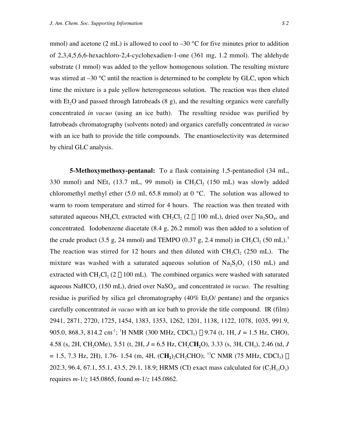mmol) and acetone (2 mL) is allowed to cool to  $-30$  °C for five minutes prior to addition of 2,3,4,5,6,6-hexachloro-2,4-cyclohexadien-1-one (361 mg, 1.2 mmol). The aldehyde substrate (1 mmol) was added to the yellow homogenous solution. The resulting mixture was stirred at –30 °C until the reaction is determined to be complete by GLC, upon which time the mixture is a pale yellow heterogeneous solution. The reaction was then eluted with Et<sub>2</sub>O and passed through Iatrobeads  $(8 \text{ g})$ , and the resulting organics were carefully concentrated *in vacuo* (using an ice bath). The resulting residue was purified by Iatrobeads chromatography (solvents noted) and organics carefully concentrated *in vacuo* with an ice bath to provide the title compounds. The enantioselectivity was determined by chiral GLC analysis.

**5-Methoxymethoxy-pentanal:** To a flask containing 1,5-pentanediol (34 mL, 330 mmol) and NEt<sub>3</sub> (13.7 mL, 99 mmol) in CH<sub>2</sub>Cl<sub>2</sub> (150 mL) was slowly added chloromethyl methyl ether (5.0 ml, 65.8 mmol) at 0  $^{\circ}$ C. The solution was allowed to warm to room temperature and stirred for 4 hours. The reaction was then treated with saturated aqueous NH<sub>4</sub>Cl, extracted with CH<sub>2</sub>Cl<sub>2</sub> (2  $\times$  100 mL), dried over Na<sub>2</sub>SO<sub>4</sub>, and concentrated. Iodobenzene diacetate (8.4 g, 26.2 mmol) was then added to a solution of the crude product (3.5 g, 24 mmol) and TEMPO (0.37 g, 2.4 mmol) in CH<sub>2</sub>Cl<sub>2</sub> (50 mL).<sup>3</sup> The reaction was stirred for 12 hours and then diluted with  $CH_2Cl_2$  (250 mL). The mixture was washed with a saturated aqueous solution of  $Na<sub>2</sub>S<sub>2</sub>O<sub>3</sub>$  (150 mL) and extracted with CH<sub>2</sub>Cl<sub>2</sub> (2  $\times$  100 mL). The combined organics were washed with saturated aqueous NaHCO<sub>3</sub> (150 mL), dried over NaSO<sub>4</sub>, and concentrated *in vacuo*. The resulting residue is purified by silica gel chromatography  $(40\% \text{ Et}, O/\text{pentane})$  and the organics carefully concentrated *in vacuo* with an ice bath to provide the title compound. IR (film) 2941, 2871, 2720, 1725, 1454, 1383, 1353, 1262, 1201, 1138, 1122, 1078, 1035, 991.9, 905.0, 868.3, 814.2 cm<sup>-1</sup>; <sup>1</sup>H NMR (300 MHz, CDCl<sub>3</sub>) δ 9.74 (t, 1H, *J* = 1.5 Hz, CHO), 4.58 (s, 2H, CH<sub>2</sub>OMe), 3.51 (t, 2H,  $J = 6.5$  Hz, CH<sub>2</sub>CH<sub>2</sub>O), 3.33 (s, 3H, CH<sub>3</sub>), 2.46 (td, *J*  $= 1.5, 7.3$  Hz, 2H), 1.76- 1.54 (m, 4H, (CH<sub>2</sub>),CH<sub>2</sub>CHO); <sup>13</sup>C NMR (75 MHz, CDCl<sub>3</sub>)  $\delta$ 202.3, 96.4, 67.1, 55.1, 43.5, 29.1, 18.9; HRMS (CI) exact mass calculated for  $(C_7H_{13}O_3)$ requires *m*-1*/z* 145.0865, found *m*-1*/z* 145.0862.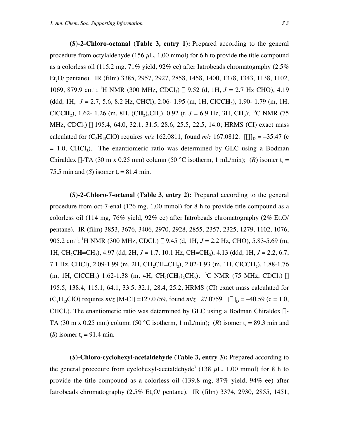**(***S***)-2-Chloro-octanal (Table 3, entry 1):** Prepared according to the general procedure from octylaldehyde (156  $\mu$ L, 1.00 mmol) for 6 h to provide the title compound as a colorless oil (115.2 mg, 71% yield, 92% ee) after Iatrobeads chromatography (2.5% Et<sub>2</sub>O/ pentane). IR (film) 3385, 2957, 2927, 2858, 1458, 1400, 1378, 1343, 1138, 1102, 1069, 879.9 cm<sup>-1</sup>; <sup>1</sup>H NMR (300 MHz, CDCl<sub>3</sub>) δ 9.52 (d, 1H, *J* = 2.7 Hz CHO), 4.19 (ddd, 1H, *J* = 2.7, 5.6, 8.2 Hz, CHCl), 2.06- 1.95 (m, 1H, ClCC**H**2), 1.90- 1.79 (m, 1H, ClCC**H**<sub>2</sub>), 1.62- 1.26 (m, 8H, (C**H**<sub>2</sub>)<sub>4</sub>CH<sub>3</sub>), 0.92 (t,  $J = 6.9$  Hz, 3H, C**H**<sub>3</sub>); <sup>13</sup>C NMR (75) MHz, CDCl<sub>3</sub>) δ 195.4, 64.0, 32.1, 31.5, 28.6, 25.5, 22.5, 14.0; HRMS (CI) exact mass calculated for (C<sub>8</sub>H<sub>15</sub>ClO) requires  $m/z$  162.0811, found  $m/z$  167.0812.  $[\alpha]_D = -35.47$  (c  $= 1.0$ , CHCl<sub>3</sub>). The enantiomeric ratio was determined by GLC using a Bodman Chiraldex  $\Gamma$ -TA (30 m x 0.25 mm) column (50 °C isotherm, 1 mL/min); (*R*) isomer t<sub>r</sub> = 75.5 min and (*S*) isomer  $t_r = 81.4$  min.

**(***S***)-2-Chloro-7-octenal (Table 3, entry 2):** Prepared according to the general procedure from oct-7-enal (126 mg, 1.00 mmol) for 8 h to provide title compound as a colorless oil (114 mg, 76% yield, 92% ee) after Iatrobeads chromatography (2% Et,O/ pentane). IR (film) 3853, 3676, 3406, 2970, 2928, 2855, 2357, 2325, 1279, 1102, 1076, 905.2 cm<sup>-1</sup>; <sup>1</sup>H NMR (300 MHz, CDCl<sub>3</sub>) δ 9.45 (d, 1H, *J* = 2.2 Hz, CHO), 5.83-5.69 (m, 1H, CH2C**H**=CH2), 4.97 (dd, 2H, *J* = 1.7, 10.1 Hz, CH=C**H2**), 4.13 (ddd, 1H, *J* = 2.2, 6.7, 7.1 Hz, CHCl), 2.09-1.99 (m, 2H, CH<sub>2</sub>CH=CH<sub>2</sub>), 2.02-1.93 (m, 1H, ClCCH<sub>2</sub>), 1.88-1.76  $(m, 1H, CICCH_2)$  1.62-1.38  $(m, 4H, CH_2, CH_2)$ ; <sup>13</sup>C NMR (75 MHz, CDCl<sub>3</sub>)  $\delta$ 195.5, 138.4, 115.1, 64.1, 33.5, 32.1, 28.4, 25.2; HRMS (CI) exact mass calculated for  $(C_8H_{13}ClO)$  requires  $m/z$  [M-Cl] =127.0759, found  $m/z$  127.0759.  $[\alpha]_D = -40.59$  (c = 1.0,  $CHCl<sub>3</sub>$ ). The enantiomeric ratio was determined by GLC using a Bodman Chiraldex  $\Gamma$ -TA (30 m x 0.25 mm) column (50 °C isotherm, 1 mL/min); (R) isomer t<sub>r</sub> = 89.3 min and (*S*) isomer  $t_r = 91.4$  min.

**(***S***)-Chloro-cyclohexyl-acetaldehyde (Table 3, entry 3):** Prepared according to the general procedure from cyclohexyl-acetaldehyde<sup>3</sup> (138  $\mu$ L, 1.00 mmol) for 8 h to provide the title compound as a colorless oil (139.8 mg, 87% yield, 94% ee) after Iatrobeads chromatography  $(2.5\% \text{ Et}, O/\text{pentane})$ . IR (film) 3374, 2930, 2855, 1451,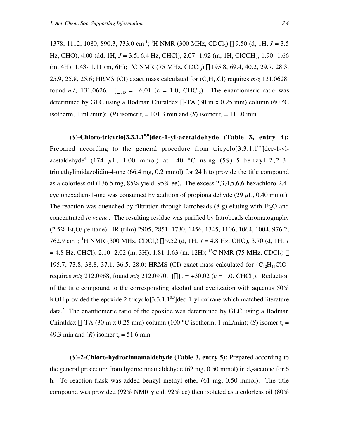1378, 1112, 1080, 890.3, 733.0 cm<sup>-1</sup>; <sup>1</sup>H NMR (300 MHz, CDCl<sub>3</sub>) δ 9.50 (d, 1H, *J* = 3.5 Hz, CHO), 4.00 (dd, 1H, *J* = 3.5, 6.4 Hz, CHCl), 2.07- 1.92 (m, 1H, ClCC**H**), 1.90- 1.66  $(m, 4H), 1.43-1.11$   $(m, 6H);$  <sup>13</sup>C NMR (75 MHz, CDCl<sub>3</sub>)  $\delta$  195.8, 69.4, 40.2, 29.7, 28.3, 25.9, 25.8, 25.6; HRMS (CI) exact mass calculated for  $(C_7H_1C)$  requires  $m/z$  131.0628, found  $m/z$  131.0626.  $[\alpha]_D = -6.01$  (c = 1.0, CHCl<sub>3</sub>). The enantiomeric ratio was determined by GLC using a Bodman Chiraldex  $\Gamma$ -TA (30 m x 0.25 mm) column (60 °C isotherm, 1 mL/min); (*R*) isomer t<sub>r</sub> = 101.3 min and (*S*) isomer t<sub>r</sub> = 111.0 min.

 $(S)$ -Chloro-tricyclo<sup>[3.3.1.1<sup>0,0</sup>]dec-1-yl-acetaldehyde (Table 3, entry 4):</sup> Prepared according to the general procedure from tricyclo[3.3.1.1<sup>0,0</sup>]dec-1-ylacetaldehyde<sup>4</sup> (174  $\mu$ L, 1.00 mmol) at  $-40$  °C using (5*S*)-5-benzyl-2,2,3trimethylimidazolidin-4-one (66.4 mg, 0.2 mmol) for 24 h to provide the title compound as a colorless oil (136.5 mg, 85% yield, 95% ee). The excess 2,3,4,5,6,6-hexachloro-2,4 cyclohexadien-1-one was consumed by addition of propionaldehyde (29  $\mu$ L, 0.40 mmol). The reaction was quenched by filtration through Iatrobeads  $(8 \text{ g})$  eluting with Et<sub>2</sub>O and concentrated *in vacuo*. The resulting residue was purified by Iatrobeads chromatography (2.5% Et<sub>2</sub>O/ pentane). IR (film) 2905, 2851, 1730, 1456, 1345, 1106, 1064, 1004, 976.2, 762.9 cm-1; 1 H NMR (300 MHz, CDCl3) d 9.52 (d, 1H, *J* = 4.8 Hz, CHO), 3.70 (d, 1H, *J*  $= 4.8$  Hz, CHCl), 2.10- 2.02 (m, 3H), 1.81-1.63 (m, 12H); <sup>13</sup>C NMR (75 MHz, CDCl<sub>3</sub>)  $\delta$ 195.7, 73.8, 38.8, 37.1, 36.5, 28.0; HRMS (CI) exact mass calculated for  $(C_{12}H_{17}ClO)$ requires  $m/z$  212.0968, found  $m/z$  212.0970.  $[\alpha]_D = +30.02$  (c = 1.0, CHCl<sub>3</sub>). Reduction of the title compound to the corresponding alcohol and cyclization with aqueous 50% KOH provided the epoxide 2-tricyclo[3.3.1.1 $^{0,0}$ ]dec-1-yl-oxirane which matched literature data.<sup>5</sup> The enantiomeric ratio of the epoxide was determined by GLC using a Bodman Chiraldex  $\Gamma$ -TA (30 m x 0.25 mm) column (100 °C isotherm, 1 mL/min); (S) isomer t<sub>r</sub> = 49.3 min and  $(R)$  isomer  $t = 51.6$  min.

**(***S***)-2-Chloro-hydrocinnamaldehyde (Table 3, entry 5):** Prepared according to the general procedure from hydrocinnamaldehyde (62 mg,  $0.50$  mmol) in  $d<sub>6</sub>$ -acetone for 6 h. To reaction flask was added benzyl methyl ether (61 mg, 0.50 mmol). The title compound was provided (92% NMR yield, 92% ee) then isolated as a colorless oil (80%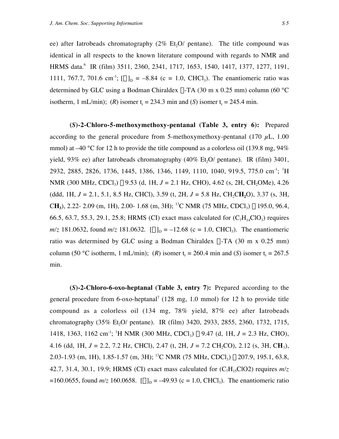ee) after Iatrobeads chromatography  $(2\%$  Et<sub>1</sub>O/ pentane). The title compound was identical in all respects to the known literature compound with regards to NMR and HRMS data.<sup>6</sup> IR (film) 3511, 2360, 2341, 1717, 1653, 1540, 1417, 1377, 1277, 1191, 1111, 767.7, 701.6 cm<sup>-1</sup>;  $[\alpha]_D = -8.84$  (c = 1.0, CHCl<sub>3</sub>). The enantiomeric ratio was determined by GLC using a Bodman Chiraldex  $\Gamma$ -TA (30 m x 0.25 mm) column (60 °C isotherm, 1 mL/min); (*R*) isomer t<sub>r</sub> = 234.3 min and (*S*) isomer t<sub>r</sub> = 245.4 min.

**(***S***)-2-Chloro-5-methoxymethoxy-pentanal (Table 3, entry 6):** Prepared according to the general procedure from 5-methoxymethoxy-pentanal (170  $\mu$ L, 1.00) mmol) at  $-40$  °C for 12 h to provide the title compound as a colorless oil (139.8 mg, 94%) yield, 93% ee) after Iatrobeads chromatography  $(40\% \text{ Et}$ , $O/$  pentane). IR (film) 3401, 2932, 2885, 2826, 1736, 1445, 1386, 1346, 1149, 1110, 1040, 919.5, 775.0 cm<sup>-1</sup>; <sup>1</sup>H NMR (300 MHz, CDCl<sub>3</sub>)  $\delta$  9.53 (d, 1H, *J* = 2.1 Hz, CHO), 4.62 (s, 2H, CH<sub>2</sub>OMe), 4.26 (ddd, 1H,  $J = 2.1$ , 5.1, 8.5 Hz, CHCl), 3.59 (t, 2H,  $J = 5.8$  Hz, CH<sub>2</sub>CH<sub>2</sub>O), 3.37 (s, 3H, CH<sub>3</sub>), 2.22- 2.09 (m, 1H), 2.00- 1.68 (m, 3H); <sup>13</sup>C NMR (75 MHz, CDCl<sub>3</sub>)  $\delta$  195.0, 96.4, 66.5, 63.7, 55.3, 29.1, 25.8; HRMS (CI) exact mass calculated for  $(C_7H_{14}ClO_3)$  requires  $m/z$  181.0632, found  $m/z$  181.0632.  $[\alpha]_D = -12.68$  (c = 1.0, CHCl<sub>3</sub>). The enantiomeric ratio was determined by GLC using a Bodman Chiraldex  $\Gamma$ -TA (30 m x 0.25 mm) column (50 °C isotherm, 1 mL/min); (*R*) isomer t<sub>r</sub> = 260.4 min and (*S*) isomer t<sub>r</sub> = 267.5 min.

**(***S***)-2-Chloro-6-oxo-heptanal (Table 3, entry 7):** Prepared according to the general procedure from 6-oxo-heptanal<sup>7</sup> (128 mg, 1.0 mmol) for 12 h to provide title compound as a colorless oil (134 mg, 78% yield, 87% ee) after Iatrobeads chromatography (35% Et, O / pentane). IR (film) 3420, 2933, 2855, 2360, 1732, 1715, 1418, 1363, 1162 cm<sup>-1</sup>; <sup>1</sup>H NMR (300 MHz, CDCl<sub>3</sub>) δ 9.47 (d, 1H, *J* = 2.3 Hz, CHO), 4.16 (dd, 1H,  $J = 2.2$ , 7.2 Hz, CHCl), 2.47 (t, 2H,  $J = 7.2$  CH<sub>2</sub>CO), 2.12 (s, 3H, CH<sub>3</sub>), 2.03-1.93 (m, 1H), 1.85-1.57 (m, 3H); <sup>13</sup>C NMR (75 MHz, CDCl<sub>3</sub>)  $\delta$  207.9, 195.1, 63.8, 42.7, 31.4, 30.1, 19.9; HRMS (CI) exact mass calculated for  $(C_7H_1cC1O2)$  requires  $m/z$  $=160.0655$ , found  $m/z$  160.0658.  $[\alpha]_D = -49.93$  (c = 1.0, CHCl<sub>3</sub>). The enantiomeric ratio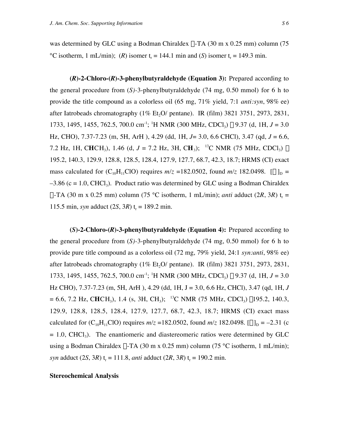was determined by GLC using a Bodman Chiraldex  $\Gamma$ -TA (30 m x 0.25 mm) column (75)  $^{\circ}$ C isotherm, 1 mL/min); (*R*) isomer t<sub>r</sub> = 144.1 min and (*S*) isomer t<sub>r</sub> = 149.3 min.

**(***R***)-2-Chloro-(***R***)-3-phenylbutyraldehyde (Equation 3):** Prepared according to the general procedure from (*S)-*3-phenylbutyraldehyde (74 mg, 0.50 mmol) for 6 h to provide the title compound as a colorless oil (65 mg, 71% yield, 7:1 *anti:syn*, 98% ee) after Iatrobeads chromatography  $(1\% \text{ Et}, O/\text{pentane})$ . IR (film) 3821 3751, 2973, 2831, 1733, 1495, 1455, 762.5, 700.0 cm<sup>-1</sup>; <sup>1</sup>H NMR (300 MHz, CDCl<sub>3</sub>)  $\delta$  9.37 (d, 1H, *J* = 3.0 Hz, CHO), 7.37-7.23 (m, 5H, ArH ), 4.29 (dd, 1H, *J*= 3.0, 6.6 CHCl), 3.47 (qd, *J* = 6.6, 7.2 Hz, 1H, CHCH<sub>3</sub>), 1.46 (d,  $J = 7.2$  Hz, 3H, CH<sub>3</sub>); <sup>13</sup>C NMR (75 MHz, CDCl<sub>3</sub>)  $\delta$ 195.2, 140.3, 129.9, 128.8, 128.5, 128.4, 127.9, 127.7, 68.7, 42.3, 18.7; HRMS (CI) exact mass calculated for  $(C_{10}H_{11}ClO)$  requires  $m/z = 182.0502$ , found  $m/z$  182.0498.  $[\alpha]_D =$  $-3.86$  (c = 1.0, CHCl<sub>3</sub>). Product ratio was determined by GLC using a Bodman Chiraldex  $\Gamma$ -TA (30 m x 0.25 mm) column (75 °C isotherm, 1 mL/min); *anti* adduct (2*R*, 3*R*) t<sub>r</sub> = 115.5 min, *syn* adduct  $(2S, 3R)$  t<sub>r</sub> = 189.2 min.

**(***S***)-2-Chloro-(***R***)-3-phenylbutyraldehyde (Equation 4):** Prepared according to the general procedure from (*S)-*3-phenylbutyraldehyde (74 mg, 0.50 mmol) for 6 h to provide pure title compound as a colorless oil (72 mg, 79% yield, 24:1 *syn:anti*, 98% ee) after Iatrobeads chromatography  $(1\% \text{ Et}_2O/\text{pentane})$ . IR (film) 3821 3751, 2973, 2831, 1733, 1495, 1455, 762.5, 700.0 cm<sup>-1</sup>; <sup>1</sup>H NMR (300 MHz, CDCl<sub>3</sub>)  $\delta$  9.37 (d, 1H, *J* = 3.0 Hz CHO), 7.37-7.23 (m, 5H, ArH ), 4.29 (dd, 1H, J = 3.0, 6.6 Hz, CHCl), 3.47 (qd, 1H, *J*  $= 6.6, 7.2$  Hz, CHCH<sub>3</sub>), 1.4 (s, 3H, CH<sub>3</sub>); <sup>13</sup>C NMR (75 MHz, CDCl<sub>3</sub>)  $\delta$ 195.2, 140.3, 129.9, 128.8, 128.5, 128.4, 127.9, 127.7, 68.7, 42.3, 18.7; HRMS (CI) exact mass calculated for  $(C_{10}H_{11}ClO)$  requires  $m/z = 182.0502$ , found  $m/z$  182.0498.  $[\alpha]_D = -2.31$  (c  $= 1.0$ , CHCl<sub>3</sub>). The enantiomeric and diastereomeric ratios were determined by GLC using a Bodman Chiraldex  $\Gamma$ -TA (30 m x 0.25 mm) column (75 °C isotherm, 1 mL/min); *syn* adduct  $(2S, 3R)$  t<sub>r</sub> = 111.8, *anti* adduct  $(2R, 3R)$  t<sub>r</sub> = 190.2 min.

## **Stereochemical Analysis**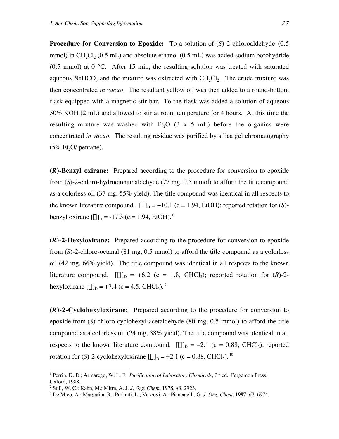**Procedure for Conversion to Epoxide:** To a solution of (*S*)-2-chloroaldehyde (0.5) mmol) in CH<sub>2</sub>Cl<sub>2</sub> (0.5 mL) and absolute ethanol (0.5 mL) was added sodium borohydride  $(0.5 \text{ mmol})$  at  $0 \text{ °C}$ . After 15 min, the resulting solution was treated with saturated aqueous NaHCO<sub>3</sub> and the mixture was extracted with CH<sub>2</sub>Cl<sub>2</sub>. The crude mixture was then concentrated *in vacuo*. The resultant yellow oil was then added to a round-bottom flask equipped with a magnetic stir bar. To the flask was added a solution of aqueous 50% KOH (2 mL) and allowed to stir at room temperature for 4 hours. At this time the resulting mixture was washed with Et<sub>2</sub>O  $(3 \times 5 \text{ mL})$  before the organics were concentrated *in vacuo*. The resulting residue was purified by silica gel chromatography  $(5\% \text{ Et}, O/\text{pentane}).$ 

**(***R***)-Benzyl oxirane:** Prepared according to the procedure for conversion to epoxide from (*S*)-2-chloro-hydrocinnamaldehyde (77 mg, 0.5 mmol) to afford the title compound as a colorless oil (37 mg, 55% yield). The title compound was identical in all respects to the known literature compound.  $[\alpha]_D = +10.1$  (c = 1.94, EtOH); reported rotation for (*S*)benzyl oxirane  $\alpha|_D = -17.3$  (c = 1.94, EtOH). <sup>8</sup>

**(***R***)-2-Hexyloxirane:** Prepared according to the procedure for conversion to epoxide from (*S*)-2-chloro-octanal (81 mg, 0.5 mmol) to afford the title compound as a colorless oil (42 mg, 66% yield). The title compound was identical in all respects to the known literature compound.  $[\alpha]_D = +6.2$  (c = 1.8, CHCl<sub>3</sub>); reported rotation for  $(R)$ -2hexyloxirane  $[\alpha]_D = +7.4$  (c = 4.5, CHCl<sub>3</sub>). <sup>9</sup>

**(***R***)-2-Cyclohexyloxirane:** Prepared according to the procedure for conversion to epoxide from (*S*)-chloro-cyclohexyl-acetaldehyde (80 mg, 0.5 mmol) to afford the title compound as a colorless oil (24 mg, 38% yield). The title compound was identical in all respects to the known literature compound.  $[\alpha]_D = -2.1$  (c = 0.88, CHCl<sub>3</sub>); reported rotation for (*S*)-2-cyclohexyloxirane  $[\alpha]_D = +2.1$  (c = 0.88, CHCl<sub>3</sub>). <sup>10</sup>

<sup>|&</sup>lt;br>|<br>1 <sup>1</sup> Perrin, D. D.; Armarego, W. L. F. *Purification of Laboratory Chemicals*; 3<sup>rd</sup> ed., Pergamon Press, Oxford, 1988.

<sup>2</sup> Still, W. C.; Kahn, M.; Mitra, A. J. *J. Org. Chem.* **1978**, *43*, 2923.

<sup>3</sup> De Mico, A.; Margarita, R.; Parlanti, L.; Vescovi, A.; Piancatelli, G. *J. Org. Chem.* **1997**, *62*, 6974.